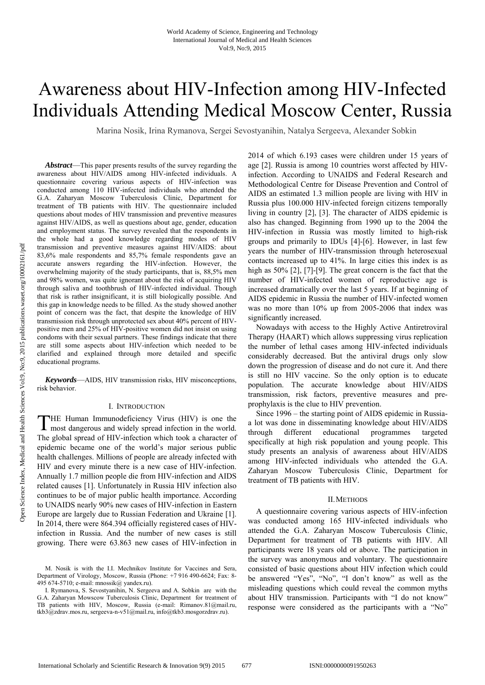# Awareness about HIV-Infection among HIV-Infected Individuals Attending Medical Moscow Center, Russia

Marina Nosik, Irina Rymanova, Sergei Sevostyanihin, Natalya Sergeeva, Alexander Sobkin

*Abstract*—This paper presents results of the survey regarding the awareness about HIV/AIDS among HIV-infected individuals. A questionnaire covering various aspects of HIV-infection was conducted among 110 HIV-infected individuals who attended the G.A. Zaharyan Moscow Tuberculosis Clinic, Department for treatment of TB patients with HIV. The questionnaire included questions about modes of HIV transmission and preventive measures against HIV/AIDS, as well as questions about age, gender, education and employment status. The survey revealed that the respondents in the whole had a good knowledge regarding modes of HIV transmission and preventive measures against HIV/AIDS: about 83,6% male respondents and 85,7% female respondents gave an accurate answers regarding the HIV-infection. However, the overwhelming majority of the study participants, that is, 88,5% men and 98% women, was quite ignorant about the risk of acquiring HIV through saliva and toothbrush of HIV-infected individual. Though that risk is rather insignificant, it is still biologically possible. And this gap in knowledge needs to be filled. As the study showed another point of concern was the fact, that despite the knowledge of HIV transmission risk through unprotected sex about 40% percent of HIVpositive men and 25% of HIV-positive women did not insist on using condoms with their sexual partners. These findings indicate that there are still some aspects about HIV-infection which needed to be clarified and explained through more detailed and specific educational programs.

*Keywords*—AIDS, HIV transmission risks, HIV misconceptions, risk behavior.

#### I. INTRODUCTION

HE Human Immunodeficiency Virus (HIV) is one the THE Human Immunodeficiency Virus (HIV) is one the most dangerous and widely spread infection in the world. The global spread of HIV-infection which took a character of epidemic became one of the world's major serious public health challenges. Millions of people are already infected with HIV and every minute there is a new case of HIV-infection. Annually 1.7 million people die from HIV-infection and AIDS related causes [1]. Unfortunately in Russia HIV infection also continues to be of major public health importance. According to UNAIDS nearly 90% new cases of HIV-infection in Eastern Europe are largely due to Russian Federation and Ukraine [1]. In 2014, there were 864.394 officially registered cases of HIVinfection in Russia. And the number of new cases is still growing. There were 63.863 new cases of HIV-infection in

M. Nosik is with the I.I. Mechnikov Institute for Vaccines and Sera, Department of Virology, Moscow, Russia (Phone: +7 916 490-6624; Fax: 8- 495 674-5710; e-mail: mnossik@ yandex.ru).

2014 of which 6.193 cases were children under 15 years of age [2]. Russia is among 10 countries worst affected by HIVinfection. According to UNAIDS and Federal Research and Methodological Centre for Disease Prevention and Control of AIDS an estimated 1.3 million people are living with HIV in Russia plus 100.000 HIV-infected foreign citizens temporally living in country [2], [3]. The character of AIDS epidemic is also has changed. Beginning from 1990 up to the 2004 the HIV-infection in Russia was mostly limited to high-risk groups and primarily to IDUs [4]-[6]. However, in last few years the number of HIV-transmission through heterosexual contacts increased up to 41%. In large cities this index is as high as 50% [2], [7]-[9]. The great concern is the fact that the number of HIV-infected women of reproductive age is increased dramatically over the last 5 years. If at beginning of AIDS epidemic in Russia the number of HIV-infected women was no more than 10% up from 2005-2006 that index was significantly increased.

Nowadays with access to the Highly Active Antiretroviral Therapy (HAART) which allows suppressing virus replication the number of lethal cases among HIV-infected individuals considerably decreased. But the antiviral drugs only slow down the progression of disease and do not cure it. And there is still no HIV vaccine. So the only option is to educate population. The accurate knowledge about HIV/AIDS transmission, risk factors, preventive measures and preprophylaxis is the clue to HIV prevention.

Since 1996 – the starting point of AIDS epidemic in Russiaa lot was done in disseminating knowledge about HIV/AIDS through different educational programmes targeted specifically at high risk population and young people. This study presents an analysis of awareness about HIV/AIDS among HIV-infected individuals who attended the G.A. Zaharyan Moscow Tuberculosis Clinic, Department for treatment of TB patients with HIV.

# II.METHODS

A questionnaire covering various aspects of HIV-infection was conducted among 165 HIV-infected individuals who attended the G.A. Zaharyan Moscow Tuberculosis Clinic, Department for treatment of TB patients with HIV. All participants were 18 years old or above. The participation in the survey was anonymous and voluntary. The questionnaire consisted of basic questions about HIV infection which could be answered "Yes", "No", "I don't know" as well as the misleading questions which could reveal the common myths about HIV transmission. Participants with "I do not know" response were considered as the participants with a "No"

I. Rymanova, S. Sevostyanihin, N. Sergeeva and A. Sobkin are with the G.A. Zaharyan Mowscow Tuberculosis Clinic, Department for treatment of TB patients with HIV, Moscow, Russia (e-mail: Rimanov.81@mail.ru, tkb3@zdrav.mos.ru, sergeeva-n-v51@mail.ru, info@tkb3.mosgorzdrav.ru).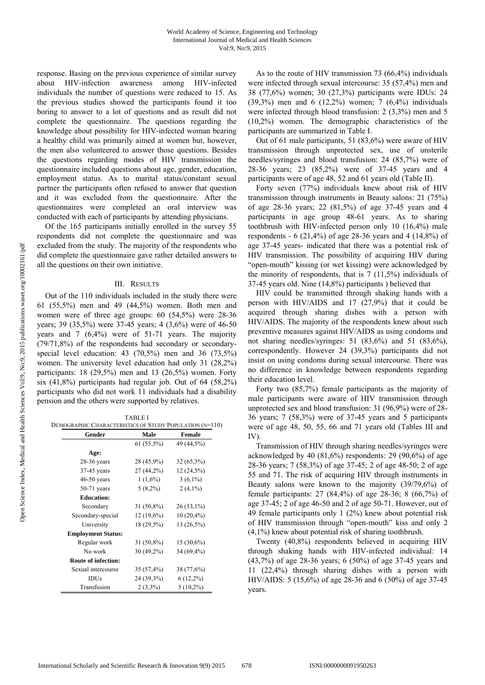response. Basing on the previous experience of similar survey about HIV-infection awareness among HIV-infected individuals the number of questions were reduced to 15. As the previous studies showed the participants found it too boring to answer to a lot of questions and as result did not complete the questionnaire. The questions regarding the knowledge about possibility for HIV-infected woman bearing a healthy child was primarily aimed at women but, however, the men also volunteered to answer those questions. Besides the questions regarding modes of HIV transmission the questionnaire included questions about age, gender, education, employment status. As to marital status/constant sexual partner the participants often refused to answer that question and it was excluded from the questionnaire. After the questionnaires were completed an oral interview was conducted with each of participants by attending physicians.

Of the 165 participants initially enrolled in the survey 55 respondents did not complete the questionnaire and was excluded from the study. The majority of the respondents who did complete the questionnaire gave rather detailed answers to all the questions on their own initiative.

### III. RESULTS

Out of the 110 individuals included in the study there were 61 (55,5%) men and 49 (44,5%) women. Both men and women were of three age groups: 60 (54,5%) were 28-36 years; 39 (35,5%) were 37-45 years; 4 (3,6%) were of 46-50 years and 7 (6,4%) were of 51-71 years. The majority (79/71,8%) of the respondents had secondary or secondaryspecial level education: 43 (70,5%) men and 36 (73,5%) women. The university level education had only 31 (28,2%) participants:  $18$  (29,5%) men and  $13$  (26,5%) women. Forty six  $(41,8\%)$  participants had regular job. Out of 64  $(58,2\%)$ participants who did not work 11 individuals had a disability pension and the others were supported by relatives.

| <b>TABLE I</b>                                          |  |
|---------------------------------------------------------|--|
| DEMOGRAPHIC CHARACTERISTICS OF STUDY POPULATION (N=110) |  |

| Gender                     | Male         | Female       |
|----------------------------|--------------|--------------|
|                            | $61(55,5\%)$ | 49 (44,5%)   |
| Age:                       |              |              |
| $28-36$ years              | 28 (45,9%)   | $32(65,3\%)$ |
| 37-45 years                | $27(44,2\%)$ | 12 (24,5%)   |
| $46-50$ years              | $1(1,6\%)$   | $3(6,1\%)$   |
| $50-71$ years              | $5(8,2\%)$   | $2(4,1\%)$   |
| <b>Education:</b>          |              |              |
| Secondary                  | $31(50,8\%)$ | $26(53,1\%)$ |
| Secondary-special          | $12(19,6\%)$ | $10(20,4\%)$ |
| University                 | 18 (29,5%)   | 13 (26,5%)   |
| <b>Employment Status:</b>  |              |              |
| Regular work               | $31(50,8\%)$ | 15 (30,6%)   |
| No work                    | $30(49,2\%)$ | 34 (69,4%)   |
| <b>Route of infection:</b> |              |              |
| Sexual intercourse         | $35(57,4\%)$ | 38 (77,6%)   |
| IDUs                       | 24 (39,3%)   | $6(12,2\%)$  |
| Transfusion                | $2(3,3\%)$   | $5(10,2\%)$  |

As to the route of HIV transmission 73 (66,4%) individuals were infected through sexual intercourse: 35 (57,4%) men and 38 (77,6%) women; 30 (27,3%) participants were IDUs: 24 (39,3%) men and 6 (12,2%) women; 7 (6,4%) individuals were infected through blood transfusion: 2 (3,3%) men and 5 (10,2%) women. The demographic characteristics of the participants are summarized in Table I.

Out of 61 male participants, 51 (83,6%) were aware of HIV transmission through unprotected sex, use of unsterile needles/syringes and blood transfusion: 24 (85,7%) were of 28-36 years; 23 (85,2%) were of 37-45 years and 4 participants were of age 48, 52 and 61 years old (Table II).

Forty seven (77%) individuals knew about risk of HIV transmission through instruments in Beauty salons: 21 (75%) of age 28-36 years; 22 (81,5%) of age 37-45 years and 4 participants in age group 48-61 years. As to sharing toothbrush with HIV-infected person only 10 (16,4%) male respondents - 6 (21,4%) of age 28-36 years and 4 (14,8%) of age 37-45 years- indicated that there was a potential risk of HIV transmission. The possibility of acquiring HIV during "open-mouth" kissing (or wet kissing) were acknowledged by the minority of respondents, that is 7 (11,5%) individuals of 37-45 years old. Nine (14,8%) participants ) believed that

HIV could be transmitted through shaking hands with a person with HIV/AIDS and 17 (27,9%) that it could be acquired through sharing dishes with a person with HIV/AIDS. The majority of the respondents knew about such preventive measures against HIV/AIDS as using condoms and not sharing needles/syringes: 51 (83,6%) and 51 (83,6%), correspondently. However 24 (39,3%) participants did not insist on using condoms during sexual intercourse. There was no difference in knowledge between respondents regarding their education level.

Forty two (85,7%) female participants as the majority of male participants were aware of HIV transmission through unprotected sex and blood transfusion: 31 (96,9%) were of 28- 36 years; 7 (58,3%) were of 37-45 years and 5 participants were of age 48, 50, 55, 66 and 71 years old (Tables III and IV).

Transmission of HIV through sharing needles/syringes were acknowledged by 40  $(81,6\%)$  respondents: 29  $(90,6\%)$  of age 28-36 years; 7 (58,3%) of age 37-45; 2 of age 48-50; 2 of age 55 and 71. The risk of acquiring HIV through instruments in Beauty salons were known to the majority (39/79,6%) of female participants: 27 (84,4%) of age 28-36; 8 (66,7%) of age 37-45; 2 of age 46-50 and 2 of age 50-71. However, out of 49 female participants only 1 (2%) knew about potential risk of HIV transmission through "open-mouth" kiss and only 2 (4,1%) knew about potential risk of sharing toothbrush.

Twenty (40,8%) respondents believed in acquiring HIV through shaking hands with HIV-infected individual: 14 (43,7%) of age 28-36 years; 6 (50%) of age 37-45 years and 11 (22,4%) through sharing dishes with a person with HIV/AIDS: 5 (15,6%) of age 28-36 and 6 (50%) of age 37-45 years.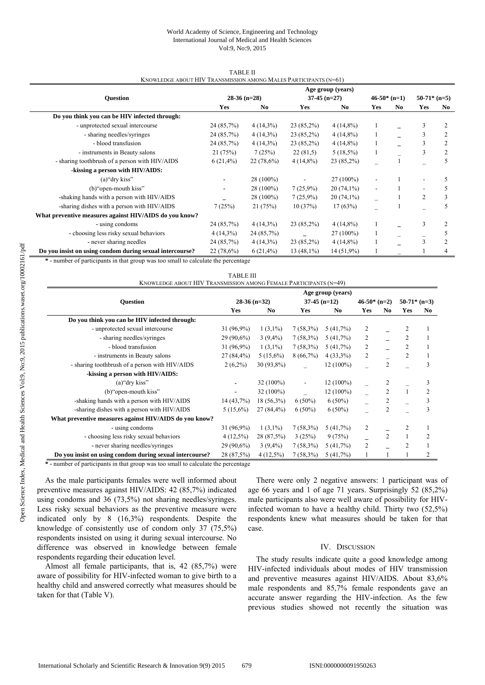# World Academy of Science, Engineering and Technology International Journal of Medical and Health Sciences Vol:9, No:9, 2015

| <b>NNUWLEDGE ABOUT TITY TRANSMISSION AMONG IVIALES FARTICIPANTS (N-01)</b> |                   |                |                |              |               |     |               |                |
|----------------------------------------------------------------------------|-------------------|----------------|----------------|--------------|---------------|-----|---------------|----------------|
|                                                                            | Age group (years) |                |                |              |               |     |               |                |
| <b>Ouestion</b>                                                            |                   | $28-36$ (n=28) | $37-45$ (n=27) |              | $46-50*(n=1)$ |     | $50-71*(n=5)$ |                |
|                                                                            | Yes               | No             | Yes            | No.          | Yes           | No. | Yes           | No             |
| Do you think you can be HIV infected through:                              |                   |                |                |              |               |     |               |                |
| - unprotected sexual intercourse                                           | 24 (85,7%)        | $4(14,3\%)$    | $23(85,2\%)$   | $4(14,8\%)$  |               |     | 3             | 2              |
| - sharing needles/syringes                                                 | 24 (85,7%)        | $4(14,3\%)$    | $23(85,2\%)$   | $4(14,8\%)$  |               |     | 3             | 2              |
| - blood transfusion                                                        | 24 (85,7%)        | $4(14,3\%)$    | $23(85,2\%)$   | $4(14,8\%)$  | $\perp$       |     | 3             | 2              |
| - instruments in Beauty salons                                             | 21(75%)           | 7(25%)         | 22(81,5)       | $5(18,5\%)$  |               |     | 3             | $\overline{c}$ |
| - sharing toothbrush of a person with HIV/AIDS                             | $6(21,4\%)$       | $22(78,6\%)$   | $4(14,8\%)$    | $23(85,2\%)$ |               |     |               | 5              |
| -kissing a person with HIV/AIDS:                                           |                   |                |                |              |               |     |               |                |
| $(a)$ "dry kiss"                                                           |                   | 28 (100%)      |                | 27 (100%)    |               |     |               | 5              |
| (b) "open-mouth kiss"                                                      | ٠                 | 28 (100%)      | 7(25,9%)       | $20(74,1\%)$ |               |     |               | 5              |
| -shaking hands with a person with HIV/AIDS                                 |                   | 28 (100%)      | 7(25,9%)       | $20(74,1\%)$ |               |     | 2             | 3              |
| -sharing dishes with a person with HIV/AIDS                                | 7(25%)            | 21(75%)        | 10(37%)        | 17(63%)      |               |     |               | 5              |
| What preventive measures against HIV/AIDS do you know?                     |                   |                |                |              |               |     |               |                |
| - using condoms                                                            | 24 (85,7%)        | $4(14,3\%)$    | $23(85,2\%)$   | $4(14,8\%)$  |               |     | 3             | 2              |
| - choosing less risky sexual behaviors                                     | $4(14,3\%)$       | 24 (85,7%)     |                | $27(100\%)$  |               |     |               | 5              |
| - never sharing needles                                                    | 24 (85,7%)        | $4(14,3\%)$    | $23(85,2\%)$   | $4(14,8\%)$  |               |     | 3             | $\overline{c}$ |
| Do you insist on using condom during sexual intercourse?                   | 22 (78,6%)        | $6(21,4\%)$    | $13(48,1\%)$   | 14 (51,9%)   |               |     |               |                |

TABLE II KNOWLEDGE ABOUT HIV TRANSMISSION AMONG MALES PARTICIPANTS (N=61)

**\* -** number of participants in that group was too small to calculate the percentage

|                                                          |                |                |                          | Age group (years) |               |                |                |                |
|----------------------------------------------------------|----------------|----------------|--------------------------|-------------------|---------------|----------------|----------------|----------------|
| <b>Question</b>                                          | $28-36$ (n=32) |                | $37-45$ (n=12)           |                   | $46-50*(n=2)$ |                | $50-71*$ (n=3) |                |
|                                                          | Yes            | N <sub>0</sub> | Yes                      | No.               | Yes           | N <sub>0</sub> | Yes            | N <sub>0</sub> |
| Do you think you can be HIV infected through:            |                |                |                          |                   |               |                |                |                |
| - unprotected sexual intercourse                         | $31(96,9\%)$   | $1(3,1\%)$     | $7(58,3\%)$              | 5(41,7%)          | 2             |                | 2              |                |
| - sharing needles/syringes                               | $29(90,6\%)$   | $3(9,4\%)$     | $7(58,3\%)$              | 5(41,7%)          | 2             |                | 2              |                |
| - blood transfusion                                      | $31(96,9\%)$   | $1(3,1\%)$     | $7(58,3\%)$              | 5(41,7%)          | 2             |                | 2              |                |
| - instruments in Beauty salons                           | 27 (84,4%)     | $5(15,6\%)$    | 8(66,7%)                 | $4(33,3\%)$       | 2             |                | $\overline{2}$ |                |
| - sharing toothbrush of a person with HIV/AIDS           | $2(6,2\%)$     | 30 (93,8%)     |                          | $12(100\%)$       |               | $\overline{2}$ |                | 3              |
| -kissing a person with HIV/AIDS:                         |                |                |                          |                   |               |                |                |                |
| $(a)$ "dry kiss"                                         |                | $32(100\%)$    | $\overline{\phantom{a}}$ | $12(100\%)$       |               | 2              |                | 3              |
| (b) open-mouth kiss"                                     |                | $32(100\%)$    |                          | 12 (100%)         |               | 2              |                | 2              |
| -shaking hands with a person with HIV/AIDS               | 14 (43,7%)     | $18(56,3\%)$   | $6(50\%)$                | $6(50\%)$         |               | 2              |                | 3              |
| -sharing dishes with a person with HIV/AIDS              | $5(15,6\%)$    | $27(84,4\%)$   | $6(50\%)$                | $6(50\%)$         |               | 2              |                | 3              |
| What preventive measures against HIV/AIDS do you know?   |                |                |                          |                   |               |                |                |                |
| - using condoms                                          | 31 (96,9%)     | $1(3,1\%)$     | $7(58,3\%)$              | 5(41,7%)          | 2             |                | 2              |                |
| - choosing less risky sexual behaviors                   | $4(12,5\%)$    | 28 (87,5%)     | 3(25%)                   | 9(75%)            |               | $\overline{c}$ |                | 2              |
| - never sharing needles/syringes                         | $29(90,6\%)$   | $3(9,4\%)$     | $7(58,3\%)$              | 5(41,7%)          | 2             |                | 2              |                |
| Do you insist on using condom during sexual intercourse? | 28 (87,5%)     | $4(12,5\%)$    | $7(58,3\%)$              | 5(41,7%)          |               |                |                | 2              |

**\* -** number of participants in that group was too small to calculate the percentage

As the male participants females were well informed about preventive measures against HIV/AIDS: 42 (85,7%) indicated using condoms and 36 (73,5%) not sharing needles/syringes. Less risky sexual behaviors as the preventive measure were indicated only by 8 (16,3%) respondents. Despite the knowledge of consistently use of condom only 37 (75,5%) respondents insisted on using it during sexual intercourse. No difference was observed in knowledge between female respondents regarding their education level.

Almost all female participants, that is, 42 (85,7%) were aware of possibility for HIV-infected woman to give birth to a healthy child and answered correctly what measures should be taken for that (Table V).

There were only 2 negative answers: 1 participant was of age 66 years and 1 of age 71 years. Surprisingly 52 (85,2%) male participants also were well aware of possibility for HIVinfected woman to have a healthy child. Thirty two (52,5%) respondents knew what measures should be taken for that case.

# IV. DISCUSSION

The study results indicate quite a good knowledge among HIV-infected individuals about modes of HIV transmission and preventive measures against HIV/AIDS. About 83,6% male respondents and 85,7% female respondents gave an accurate answer regarding the HIV-infection. As the few previous studies showed not recently the situation was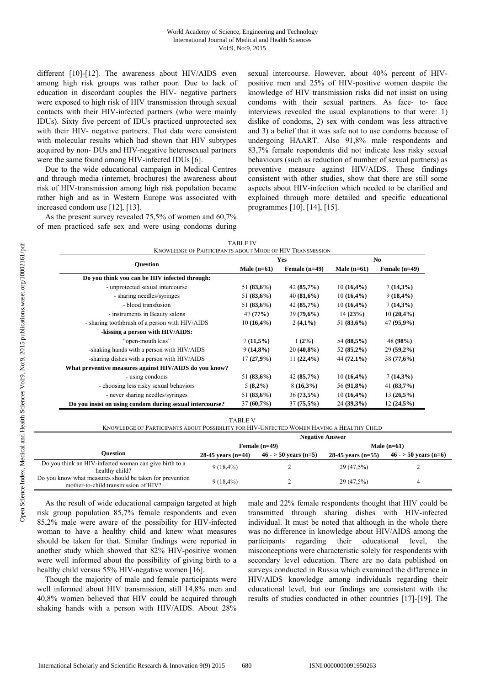different [10]-[12]. The awareness about HIV/AIDS even among high risk groups was rather poor. Due to lack of education in discordant couples the HIV- negative partners were exposed to high risk of HIV transmission through sexual contacts with their HIV-infected partners (who were mainly IDUs). Sixty five percent of IDUs practiced unprotected sex with their HIV- negative partners. That data were consistent with molecular results which had shown that HIV subtypes acquired by non- DUs and HIV-negative heterosexual partners were the same found among HIV-infected IDUs [6].

Due to the wide educational campaign in Medical Centres and through media (internet, brochures) the awareness about risk of HIV-transmission among high risk population became rather high and as in Western Europe was associated with increased condom use [12], [13].

As the present survey revealed 75,5% of women and 60,7% of men practiced safe sex and were using condoms during sexual intercourse. However, about 40% percent of HIVpositive men and 25% of HIV-positive women despite the knowledge of HIV transmission risks did not insist on using condoms with their sexual partners. As face- to- face interviews revealed the usual explanations to that were: 1) dislike of condoms, 2) sex with condom was less attractive and 3) a belief that it was safe not to use condoms because of undergoing HAART. Also 91,8% male respondents and 83,7% female respondents did not indicate less risky sexual behaviours (such as reduction of number of sexual partners) as preventive measure against HIV/AIDS. These findings consistent with other studies, show that there are still some aspects about HIV-infection which needed to be clarified and explained through more detailed and specific educational programmes [10], [14], [15].

| <b>TABLE IV</b>                                          |  |
|----------------------------------------------------------|--|
| KNOWLEDGE OF PARTICIPANTS ABOUT MODE OF HIV TRANSMISSION |  |

|                                                          |               | <b>Yes</b>      | N <sub>0</sub> |                 |  |
|----------------------------------------------------------|---------------|-----------------|----------------|-----------------|--|
| <b>Ouestion</b>                                          | Male $(n=61)$ | Female $(n=49)$ | Male $(n=61)$  | Female $(n=49)$ |  |
| Do you think you can be HIV infected through:            |               |                 |                |                 |  |
| - unprotected sexual intercourse                         | 51 $(83,6\%)$ | 42(85,7%)       | $10(16,4\%)$   | $7(14,3\%)$     |  |
| - sharing needles/syringes                               | 51 $(83,6\%)$ | 40(81,6%)       | $10(16,4\%)$   | $9(18, 4\%)$    |  |
| - blood transfusion                                      | 51 (83,6%)    | 42(85,7%)       | $10(16,4\%)$   | $7(14,3\%)$     |  |
| - instruments in Beauty salons                           | 47(77%)       | 39(79,6%)       | 14(23%)        | $10(20,4\%)$    |  |
| - sharing toothbrush of a person with HIV/AIDS           | $10(16,4\%)$  | $2(4,1\%)$      | 51 $(83,6\%)$  | 47 (95,9%)      |  |
| -kissing a person with HIV/AIDS:                         |               |                 |                |                 |  |
| "open-mouth kiss"                                        | 7(11,5%)      | $1(2\%)$        | 54 (88,5%)     | 48 (98%)        |  |
| -shaking hands with a person with HIV/AIDS               | $9(14,8\%)$   | $20(40,8\%)$    | 52 (85,2%)     | $29(59,2\%)$    |  |
| -sharing dishes with a person with HIV/AIDS              | 17(27,9%)     | $11(22,4\%)$    | $44(72,1\%)$   | 38(77,6%)       |  |
| What preventive measures against HIV/AIDS do you know?   |               |                 |                |                 |  |
| - using condoms                                          | 51 $(83,6\%)$ | 42(85,7%)       | $10(16,4\%)$   | $7(14,3\%)$     |  |
| - choosing less risky sexual behaviors                   | $5(8,2\%)$    | $8(16,3\%)$     | 56 (91,8%)     | 41 $(83,7%)$    |  |
| - never sharing needles/syringes                         | 51 $(83,6\%)$ | $36(73,5\%)$    | $10(16,4\%)$   | $13(26,5\%)$    |  |
| Do you insist on using condom during sexual intercourse? | $37(60,7\%)$  | $37(75,5\%)$    | $24(39,3\%)$   | $12(24,5\%)$    |  |

TABLE V

KNOWLEDGE OF PARTICIPANTS ABOUT POSSIBILITY FOR HIV-UNFECTED WOMEN HAVING A HEALTHY CHILD

|                                                                                                  | <b>Negative Answer</b> |                       |                      |                       |  |  |
|--------------------------------------------------------------------------------------------------|------------------------|-----------------------|----------------------|-----------------------|--|--|
|                                                                                                  |                        | Female $(n=49)$       | Male $(n=61)$        |                       |  |  |
| <b>Ouestion</b>                                                                                  | 28-45 years $(n=44)$   | $46 - 50$ years (n=5) | 28-45 years $(n=55)$ | $46 - 50$ years (n=6) |  |  |
| Do you think an HIV-infected woman can give birth to a<br>healthy child?                         | $9(18, 4\%)$           |                       | 29 (47,5%)           |                       |  |  |
| Do you know what measures should be taken for prevention<br>mother-to-child transmission of HIV? | $9(18, 4\%)$           |                       | 29 (47,5%)           |                       |  |  |

As the result of wide educational campaign targeted at high risk group population 85,7% female respondents and even 85,2% male were aware of the possibility for HIV-infected woman to have a healthy child and knew what measures should be taken for that. Similar findings were reported in another study which showed that 82% HIV-positive women were well informed about the possibility of giving birth to a healthy child versus 55% HIV-negative women [16].

Though the majority of male and female participants were well informed about HIV transmission, still 14,8% men and 40,8% women believed that HIV could be acquired through shaking hands with a person with HIV/AIDS. About 28% male and 22% female respondents thought that HIV could be transmitted through sharing dishes with HIV-infected individual. It must be noted that although in the whole there was no difference in knowledge about HIV/AIDS among the participants regarding their educational level, the misconceptions were characteristic solely for respondents with secondary level education. There are no data published on surveys conducted in Russia which examined the difference in HIV/AIDS knowledge among individuals regarding their educational level, but our findings are consistent with the results of studies conducted in other countries [17]-[19]. The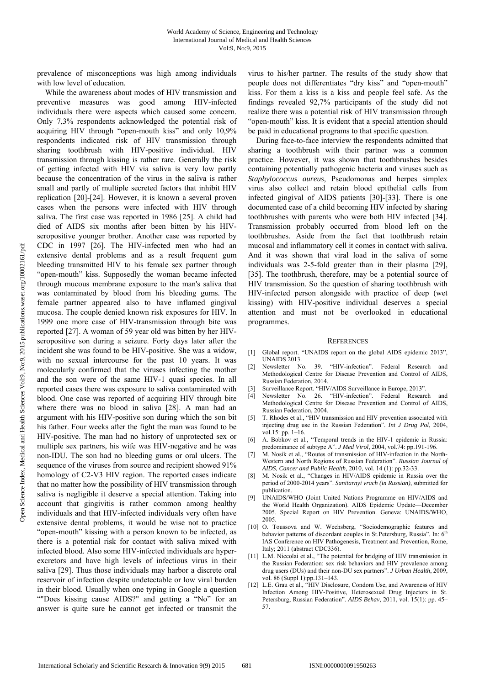prevalence of misconceptions was high among individuals with low level of education.

While the awareness about modes of HIV transmission and preventive measures was good among HIV-infected individuals there were aspects which caused some concern. Only 7,3% respondents acknowledged the potential risk of acquiring HIV through "open-mouth kiss" and only 10,9% respondents indicated risk of HIV transmission through sharing toothbrush with HIV-positive individual. HIV transmission through kissing is rather rare. Generally the risk of getting infected with HIV via saliva is very low partly because the concentration of the virus in the saliva is rather small and partly of multiple secreted factors that inhibit HIV replication [20]-[24]. However, it is known a several proven cases when the persons were infected with HIV through saliva. The first case was reported in 1986 [25]. A child had died of AIDS six months after been bitten by his HIVseropositive younger brother. Another case was reported by CDC in 1997 [26]. The HIV-infected men who had an extensive dental problems and as a result frequent gum bleeding transmitted HIV to his female sex partner through "open-mouth" kiss. Supposedly the woman became infected through mucous membrane exposure to the man's saliva that was contaminated by blood from his bleeding gums. The female partner appeared also to have inflamed gingival mucosa. The couple denied known risk exposures for HIV. In 1999 one more case of HIV-transmission through bite was reported [27]. A woman of 59 year old was bitten by her HIVseropositive son during a seizure. Forty days later after the incident she was found to be HIV-positive. She was a widow, with no sexual intercourse for the past 10 years. It was molecularly confirmed that the viruses infecting the mother and the son were of the same HIV-1 quasi species. In all reported cases there was exposure to saliva contaminated with blood. One case was reported of acquiring HIV through bite where there was no blood in saliva [28]. A man had an argument with his HIV-positive son during which the son bit his father. Four weeks after the fight the man was found to be HIV-positive. The man had no history of unprotected sex or multiple sex partners, his wife was HIV-negative and he was non-IDU. The son had no bleeding gums or oral ulcers. The sequence of the viruses from source and recipient showed 91% homology of C2-V3 HIV region. The reported cases indicate that no matter how the possibility of HIV transmission through saliva is negligible it deserve a special attention. Taking into account that gingivitis is rather common among healthy individuals and that HIV-infected individuals very often have extensive dental problems, it would be wise not to practice "open-mouth" kissing with a person known to be infected, as there is a potential risk for contact with saliva mixed with infected blood. Also some HIV-infected individuals are hyperexcretors and have high levels of infectious virus in their saliva [29]. Thus those individuals may harbor a discrete oral reservoir of infection despite undetectable or low viral burden in their blood. Usually when one typing in Google a question ""Does kissing cause AIDS?" and getting a "No" for an answer is quite sure he cannot get infected or transmit the

virus to his/her partner. The results of the study show that people does not differentiates "dry kiss" and "open-mouth" kiss. For them a kiss is a kiss and people feel safe. As the findings revealed 92,7% participants of the study did not realize there was a potential risk of HIV transmission through "open-mouth" kiss. It is evident that a special attention should be paid in educational programs to that specific question.

During face-to-face interview the respondents admitted that sharing a toothbrush with their partner was a common practice. However, it was shown that toothbrushes besides containing potentially pathogenic bacteria and viruses such as *Staphylococcus aureus*, Pseudomonas and herpes simplex virus also collect and retain blood epithelial cells from infected gingival of AIDS patients [30]-[33]. There is one documented case of a child becoming HIV infected by sharing toothbrushes with parents who were both HIV infected [34]. Transmission probably occurred from blood left on the toothbrushes. Aside from the fact that toothbrush retain mucosal and inflammatory cell it comes in contact with saliva. And it was shown that viral load in the saliva of some individuals was 2-5-fold greater than in their plasma [29], [35]. The toothbrush, therefore, may be a potential source of HIV transmission. So the question of sharing toothbrush with HIV-infected person alongside with practice of deep (wet kissing) with HIV-positive individual deserves a special attention and must not be overlooked in educational programmes.

#### **REFERENCES**

- [1] Global report. "UNAIDS report on the global AIDS epidemic 2013", UNAIDS 2013.
- [2] Newsletter No. 39. "HIV-infection". Federal Research and Methodological Centre for Disease Prevention and Control of AIDS, Russian Federation, 2014.
- [3] Surveillance Report. "HIV/AIDS Surveillance in Europe, 2013".
- [4] Newsletter No. 26. "HIV-infection". Federal Research and Methodological Centre for Disease Prevention and Control of AIDS, Russian Federation, 2004.
- [5] T. Rhodes et al., "HIV transmission and HIV prevention associated with injecting drug use in the Russian Federation". *Int J Drug Pol*, 2004, vol.15: pp. 1–16.
- [6] A. Bobkov et al., "Temporal trends in the HIV-1 epidemic in Russia: predominance of subtype A". *J Med Virol*, 2004, vol.74: pp.191-196.
- [7] M. Nosik et al., "Routes of transmission of HIV-infection in the North-Western and North Regions of Russian Federation". *Russian Journal of AIDS, Cancer and Public Health*, 2010, vol. 14 (1): pp.32-33.
- [8] M. Nosik et al., "Changes in HIV/AIDS epidemic in Russia over the period of 2000-2014 years". *Sanitarnyi vrach (in Russian)*, submitted for publication.
- [9] UNAIDS/WHO (Joint United Nations Programme on HIV/AIDS and the World Health Organization). AIDS Epidemic Update—December 2005. Special Report on HIV Prevention. Geneva: UNAIDS/WHO, 2005.
- [10] O. Toussova and W. Wechsberg, "Sociodemographic features and behavior patterns of discordant couples in St.Petersburg, Russia". In:  $6<sup>th</sup>$ IAS Conference on HIV Pathogenesis, Treatment and Prevention, Rome, Italy; 2011 (abstract CDС336).
- [11] L.M. Niccolai et al., "The potential for bridging of HIV transmission in the Russian Federation: sex risk behaviors and HIV prevalence among drug users (DUs) and their non-DU sex partners". *J Urban Health*, 2009, vol. 86 (Suppl 1):pp.131-143.
- [12] L.E. Grau et al., "HIV Disclosure, Condom Use, and Awareness of HIV Infection Among HIV-Positive, Heterosexual Drug Injectors in St. Petersburg, Russian Federation". *AIDS Behav*, 2011, vol. 15(1): pp. 45– 57.